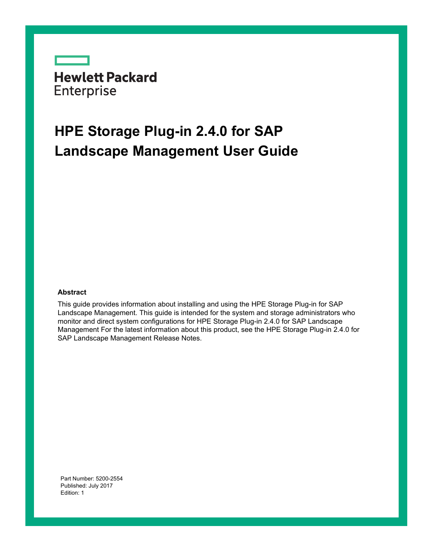**Hewlett Packard** Enterprise

# **HPE Storage Plug-in 2.4.0 for SAP Landscape Management User Guide**

### **Abstract**

This guide provides information about installing and using the HPE Storage Plug-in for SAP Landscape Management. This guide is intended for the system and storage administrators who monitor and direct system configurations for HPE Storage Plug-in 2.4.0 for SAP Landscape Management For the latest information about this product, see the HPE Storage Plug-in 2.4.0 for SAP Landscape Management Release Notes.

Part Number: 5200-2554 Published: July 2017 Edition: 1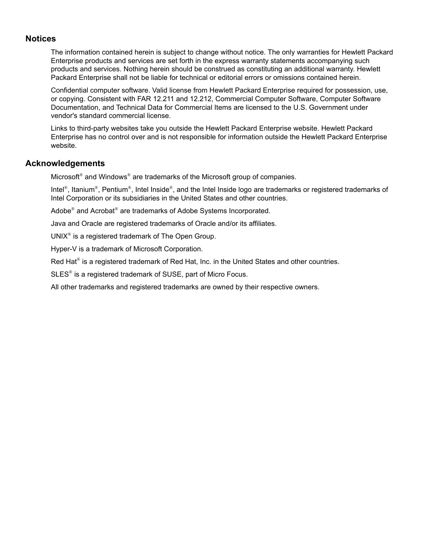## **Notices**

The information contained herein is subject to change without notice. The only warranties for Hewlett Packard Enterprise products and services are set forth in the express warranty statements accompanying such products and services. Nothing herein should be construed as constituting an additional warranty. Hewlett Packard Enterprise shall not be liable for technical or editorial errors or omissions contained herein.

Confidential computer software. Valid license from Hewlett Packard Enterprise required for possession, use, or copying. Consistent with FAR 12.211 and 12.212, Commercial Computer Software, Computer Software Documentation, and Technical Data for Commercial Items are licensed to the U.S. Government under vendor's standard commercial license.

Links to third-party websites take you outside the Hewlett Packard Enterprise website. Hewlett Packard Enterprise has no control over and is not responsible for information outside the Hewlett Packard Enterprise website.

## **Acknowledgements**

Microsoft<sup>®</sup> and Windows<sup>®</sup> are trademarks of the Microsoft group of companies.

Intel®, Itanium®, Pentium®, Intel Inside®, and the Intel Inside logo are trademarks or registered trademarks of Intel Corporation or its subsidiaries in the United States and other countries.

Adobe<sup>®</sup> and Acrobat<sup>®</sup> are trademarks of Adobe Systems Incorporated.

Java and Oracle are registered trademarks of Oracle and/or its affiliates.

UNIX<sup>®</sup> is a registered trademark of The Open Group.

Hyper-V is a trademark of Microsoft Corporation.

Red Hat® is a registered trademark of Red Hat, Inc. in the United States and other countries.

SLES<sup>®</sup> is a registered trademark of SUSE, part of Micro Focus.

All other trademarks and registered trademarks are owned by their respective owners.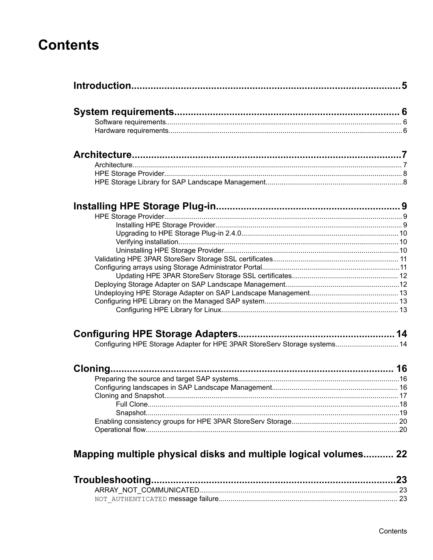# **Contents**

| Configuring HPE Storage Adapter for HPE 3PAR StoreServ Storage systems 14 |  |
|---------------------------------------------------------------------------|--|
|                                                                           |  |
|                                                                           |  |
|                                                                           |  |
|                                                                           |  |
|                                                                           |  |
|                                                                           |  |
|                                                                           |  |
|                                                                           |  |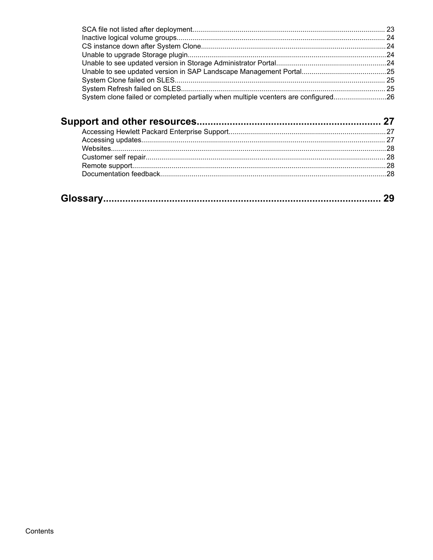| System clone failed or completed partially when multiple vcenters are configured26 |  |
|------------------------------------------------------------------------------------|--|
|                                                                                    |  |
|                                                                                    |  |
|                                                                                    |  |
|                                                                                    |  |
|                                                                                    |  |
|                                                                                    |  |
|                                                                                    |  |
|                                                                                    |  |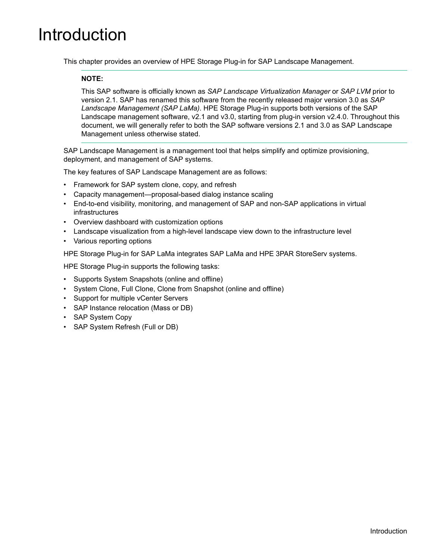# <span id="page-4-0"></span>Introduction

This chapter provides an overview of HPE Storage Plug-in for SAP Landscape Management.

### **NOTE:**

This SAP software is officially known as *SAP Landscape Virtualization Manager* or *SAP LVM* prior to version 2.1. SAP has renamed this software from the recently released major version 3.0 as *SAP Landscape Management (SAP LaMa)*. HPE Storage Plug-in supports both versions of the SAP Landscape management software, v2.1 and v3.0, starting from plug-in version v2.4.0. Throughout this document, we will generally refer to both the SAP software versions 2.1 and 3.0 as SAP Landscape Management unless otherwise stated.

SAP Landscape Management is a management tool that helps simplify and optimize provisioning, deployment, and management of SAP systems.

The key features of SAP Landscape Management are as follows:

- Framework for SAP system clone, copy, and refresh
- Capacity management—proposal-based dialog instance scaling
- End-to-end visibility, monitoring, and management of SAP and non-SAP applications in virtual infrastructures
- Overview dashboard with customization options
- Landscape visualization from a high-level landscape view down to the infrastructure level
- Various reporting options

HPE Storage Plug-in for SAP LaMa integrates SAP LaMa and HPE 3PAR StoreServ systems.

HPE Storage Plug-in supports the following tasks:

- Supports System Snapshots (online and offline)
- System Clone, Full Clone, Clone from Snapshot (online and offline)
- Support for multiple vCenter Servers
- SAP Instance relocation (Mass or DB)
- SAP System Copy
- SAP System Refresh (Full or DB)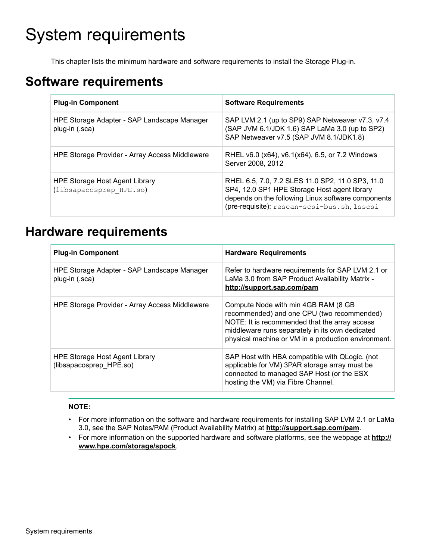# <span id="page-5-0"></span>System requirements

This chapter lists the minimum hardware and software requirements to install the Storage Plug-in.

# **Software requirements**

| <b>Plug-in Component</b>                                      | <b>Software Requirements</b>                                                                                                                                                                          |
|---------------------------------------------------------------|-------------------------------------------------------------------------------------------------------------------------------------------------------------------------------------------------------|
| HPE Storage Adapter - SAP Landscape Manager<br>plug-in (.sca) | SAP LVM 2.1 (up to SP9) SAP Netweaver v7.3, v7.4<br>(SAP JVM 6.1/JDK 1.6) SAP LaMa 3.0 (up to SP2)<br>SAP Netweaver v7.5 (SAP JVM 8.1/JDK1.8)                                                         |
| HPE Storage Provider - Array Access Middleware                | RHEL v6.0 (x64), v6.1(x64), 6.5, or 7.2 Windows<br>Server 2008, 2012                                                                                                                                  |
| HPE Storage Host Agent Library<br>(libsapacosprep HPE.so)     | RHEL 6.5, 7.0, 7.2 SLES 11.0 SP2, 11.0 SP3, 11.0<br>SP4, 12.0 SP1 HPE Storage Host agent library<br>depends on the following Linux software components<br>(pre-requisite): rescan-scsi-bus.sh, lsscsi |

# **Hardware requirements**

| <b>Plug-in Component</b>                                      | <b>Hardware Requirements</b>                                                                                                                                                                                                                 |
|---------------------------------------------------------------|----------------------------------------------------------------------------------------------------------------------------------------------------------------------------------------------------------------------------------------------|
| HPE Storage Adapter - SAP Landscape Manager<br>plug-in (.sca) | Refer to hardware requirements for SAP LVM 2.1 or<br>LaMa 3.0 from SAP Product Availability Matrix -<br>http://support.sap.com/pam                                                                                                           |
| <b>HPE Storage Provider - Array Access Middleware</b>         | Compute Node with min 4GB RAM (8 GB<br>recommended) and one CPU (two recommended)<br>NOTE: It is recommended that the array access<br>middleware runs separately in its own dedicated<br>physical machine or VM in a production environment. |
| HPE Storage Host Agent Library<br>(libsapacosprep_HPE.so)     | SAP Host with HBA compatible with QLogic. (not<br>applicable for VM) 3PAR storage array must be<br>connected to managed SAP Host (or the ESX<br>hosting the VM) via Fibre Channel.                                                           |

## **NOTE:**

- For more information on the software and hardware requirements for installing SAP LVM 2.1 or LaMa 3.0, see the SAP Notes/PAM (Product Availability Matrix) at **<http://support.sap.com/pam>**.
- For more information on the supported hardware and software platforms, see the webpage at **[http://](http://www.hpe.com/storage/spock) [www.hpe.com/storage/spock](http://www.hpe.com/storage/spock)**.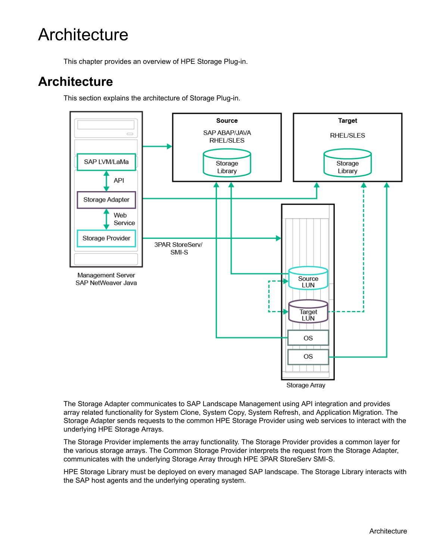# <span id="page-6-0"></span>**Architecture**

This chapter provides an overview of HPE Storage Plug-in.

# **Architecture**

This section explains the architecture of Storage Plug-in.



Storage Array

The Storage Adapter communicates to SAP Landscape Management using API integration and provides array related functionality for System Clone, System Copy, System Refresh, and Application Migration. The Storage Adapter sends requests to the common HPE Storage Provider using web services to interact with the underlying HPE Storage Arrays.

The Storage Provider implements the array functionality. The Storage Provider provides a common layer for the various storage arrays. The Common Storage Provider interprets the request from the Storage Adapter, communicates with the underlying Storage Array through HPE 3PAR StoreServ SMI-S.

HPE Storage Library must be deployed on every managed SAP landscape. The Storage Library interacts with the SAP host agents and the underlying operating system.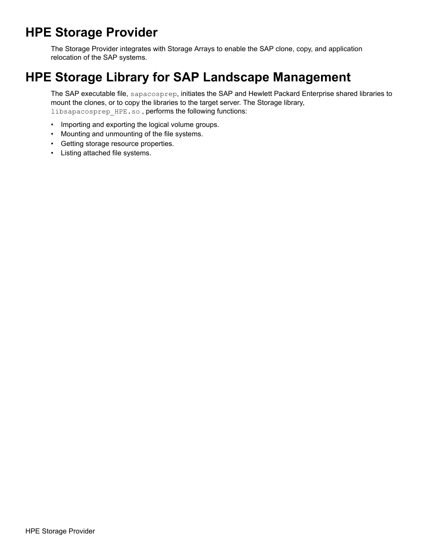# <span id="page-7-0"></span>**HPE Storage Provider**

The Storage Provider integrates with Storage Arrays to enable the SAP clone, copy, and application relocation of the SAP systems.

# **HPE Storage Library for SAP Landscape Management**

The SAP executable file, sapacosprep, initiates the SAP and Hewlett Packard Enterprise shared libraries to mount the clones, or to copy the libraries to the target server. The Storage library, libsapacosprep\_HPE.so, performs the following functions:

- Importing and exporting the logical volume groups.
- Mounting and unmounting of the file systems.
- Getting storage resource properties.
- Listing attached file systems.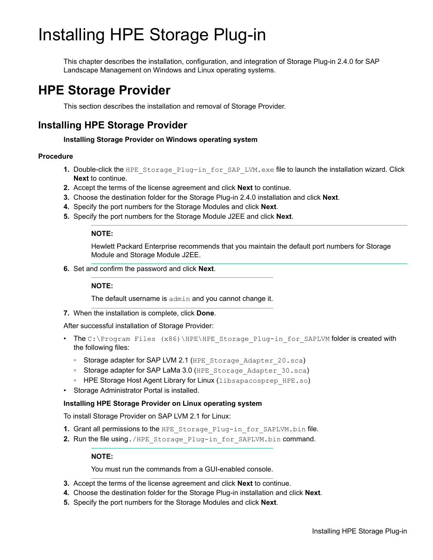# <span id="page-8-0"></span>Installing HPE Storage Plug-in

This chapter describes the installation, configuration, and integration of Storage Plug-in 2.4.0 for SAP Landscape Management on Windows and Linux operating systems.

# **HPE Storage Provider**

This section describes the installation and removal of Storage Provider.

# **Installing HPE Storage Provider**

## **Installing Storage Provider on Windows operating system**

## **Procedure**

- **1.** Double-click the HPE Storage Plug-in for SAP LVM.exe file to launch the installation wizard. Click **Next** to continue.
- **2.** Accept the terms of the license agreement and click **Next** to continue.
- **3.** Choose the destination folder for the Storage Plug-in 2.4.0 installation and click **Next**.
- **4.** Specify the port numbers for the Storage Modules and click **Next**.
- **5.** Specify the port numbers for the Storage Module J2EE and click **Next**.

## **NOTE:**

Hewlett Packard Enterprise recommends that you maintain the default port numbers for Storage Module and Storage Module J2EE.

**6.** Set and confirm the password and click **Next**.

## **NOTE:**

The default username is admin and you cannot change it.

**7.** When the installation is complete, click **Done**.

After successful installation of Storage Provider:

- The C:\Program Files (x86)\HPE\HPE Storage Plug-in for SAPLVM folder is created with the following files:
	- Storage adapter for SAP LVM 2.1 (HPE\_Storage\_Adapter\_20.sca)
	- Storage adapter for SAP LaMa 3.0 (HPE Storage Adapter 30.sca)
	- HPE Storage Host Agent Library for Linux (libsapacosprep HPE.so)
- Storage Administrator Portal is installed.

## **Installing HPE Storage Provider on Linux operating system**

To install Storage Provider on SAP LVM 2.1 for Linux:

- **1.** Grant all permissions to the HPE Storage Plug-in for SAPLVM.bin file.
- 2. Run the file using./HPE\_Storage\_Plug-in\_for\_SAPLVM.bin command.

## **NOTE:**

You must run the commands from a GUI-enabled console.

- **3.** Accept the terms of the license agreement and click **Next** to continue.
- **4.** Choose the destination folder for the Storage Plug-in installation and click **Next**.
- **5.** Specify the port numbers for the Storage Modules and click **Next**.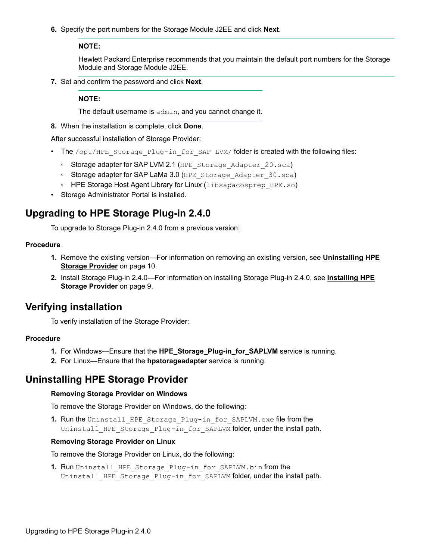<span id="page-9-0"></span>**6.** Specify the port numbers for the Storage Module J2EE and click **Next**.

### **NOTE:**

Hewlett Packard Enterprise recommends that you maintain the default port numbers for the Storage Module and Storage Module J2EE.

**7.** Set and confirm the password and click **Next**.

### **NOTE:**

The default username is admin, and you cannot change it.

**8.** When the installation is complete, click **Done**.

After successful installation of Storage Provider:

- The /opt/HPE Storage Plug-in for SAP LVM/ folder is created with the following files:
	- Storage adapter for SAP LVM 2.1 (HPE\_Storage\_Adapter\_20.sca)
	- Storage adapter for SAP LaMa 3.0 (HPE\_Storage\_Adapter\_30.sca)
	- HPE Storage Host Agent Library for Linux (libsapacosprep HPE.so)
- Storage Administrator Portal is installed.

# **Upgrading to HPE Storage Plug-in 2.4.0**

To upgrade to Storage Plug-in 2.4.0 from a previous version:

### **Procedure**

- **1.** Remove the existing version—For information on removing an existing version, see **Uninstalling HPE Storage Provider** on page 10.
- **2.** Install Storage Plug-in 2.4.0—For information on installing Storage Plug-in 2.4.0, see **[Installing HPE](#page-8-0) [Storage Provider](#page-8-0)** on page 9.

# **Verifying installation**

To verify installation of the Storage Provider:

### **Procedure**

- **1.** For Windows—Ensure that the **HPE\_Storage\_Plug-in\_for\_SAPLVM** service is running.
- **2.** For Linux—Ensure that the **hpstorageadapter** service is running.

# **Uninstalling HPE Storage Provider**

### **Removing Storage Provider on Windows**

To remove the Storage Provider on Windows, do the following:

**1. Run the Uninstall HPE Storage Plug-in for SAPLVM.exe file from the** Uninstall HPE Storage Plug-in for SAPLVM folder, under the install path.

#### **Removing Storage Provider on Linux**

To remove the Storage Provider on Linux, do the following:

1. Run Uninstall\_HPE\_Storage\_Plug-in\_for\_SAPLVM.bin from the Uninstall HPE Storage Plug-in for SAPLVM folder, under the install path.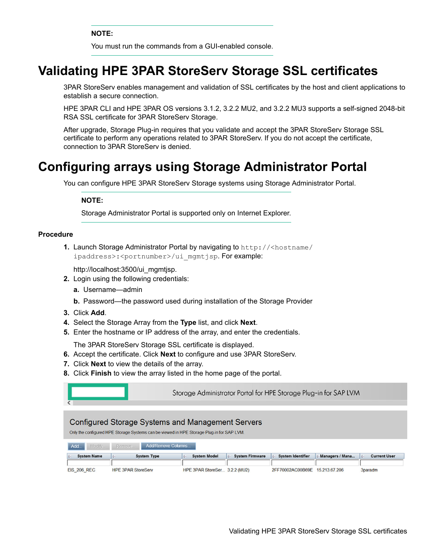**NOTE:**

You must run the commands from a GUI-enabled console.

# <span id="page-10-0"></span>**Validating HPE 3PAR StoreServ Storage SSL certificates**

3PAR StoreServ enables management and validation of SSL certificates by the host and client applications to establish a secure connection.

HPE 3PAR CLI and HPE 3PAR OS versions 3.1.2, 3.2.2 MU2, and 3.2.2 MU3 supports a self-signed 2048-bit RSA SSL certificate for 3PAR StoreServ Storage.

After upgrade, Storage Plug-in requires that you validate and accept the 3PAR StoreServ Storage SSL certificate to perform any operations related to 3PAR StoreServ. If you do not accept the certificate, connection to 3PAR StoreServ is denied.

# **Configuring arrays using Storage Administrator Portal**

You can configure HPE 3PAR StoreServ Storage systems using Storage Administrator Portal.

### **NOTE:**

Storage Administrator Portal is supported only on Internet Explorer.

#### **Procedure**

**1.** Launch Storage Administrator Portal by navigating to http://<hostname/ ipaddress>:<portnumber>/ui mgmtjsp. For example:

http://localhost:3500/ui\_mgmtjsp.

- **2.** Login using the following credentials:
	- **a.** Username—admin
	- **b.** Password—the password used during installation of the Storage Provider
- **3.** Click **Add**.
- **4.** Select the Storage Array from the **Type** list, and click **Next**.
- **5.** Enter the hostname or IP address of the array, and enter the credentials.

The 3PAR StoreServ Storage SSL certificate is displayed.

- **6.** Accept the certificate. Click **Next** to configure and use 3PAR StoreServ.
- **7.** Click **Next** to view the details of the array.
- **8.** Click **Finish** to view the array listed in the home page of the portal.

| C                  | Storage Administrator Portal for HPE Storage Plug-in for SAP LVM                                                                                      |                               |                                         |                          |                 |                     |
|--------------------|-------------------------------------------------------------------------------------------------------------------------------------------------------|-------------------------------|-----------------------------------------|--------------------------|-----------------|---------------------|
|                    | <b>Configured Storage Systems and Management Servers</b><br>Only the configured HPE Storage Systems can be viewed in HPE Storage Plug-in for SAP LVM. |                               |                                         |                          |                 |                     |
| Add.<br>Modify.    | Add/Remove Columns<br>Remove.                                                                                                                         |                               |                                         |                          |                 |                     |
| <b>System Name</b> | <b>System Type</b><br>$\leftarrow$                                                                                                                    | <b>System Model</b><br>i.     | <b>System Firmware</b><br>$\frac{d}{2}$ | <b>System Identifier</b> | Managers / Mana | <b>Current User</b> |
| <b>EIS 206 REC</b> | <b>HPE 3PAR StoreServ</b>                                                                                                                             | HPE 3PAR StoreSer 3.2.2 (MU2) |                                         | 2FF70002AC00B69E         | 15.213.67.206   | 3paradm             |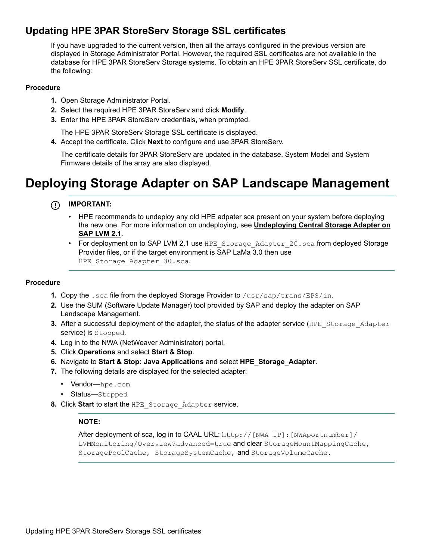# <span id="page-11-0"></span>**Updating HPE 3PAR StoreServ Storage SSL certificates**

If you have upgraded to the current version, then all the arrays configured in the previous version are displayed in Storage Administrator Portal. However, the required SSL certificates are not available in the database for HPE 3PAR StoreServ Storage systems. To obtain an HPE 3PAR StoreServ SSL certificate, do the following:

## **Procedure**

- **1.** Open Storage Administrator Portal.
- **2.** Select the required HPE 3PAR StoreServ and click **Modify**.
- **3.** Enter the HPE 3PAR StoreServ credentials, when prompted.

The HPE 3PAR StoreServ Storage SSL certificate is displayed.

**4.** Accept the certificate. Click **Next** to configure and use 3PAR StoreServ.

The certificate details for 3PAR StoreServ are updated in the database. System Model and System Firmware details of the array are also displayed.

# **Deploying Storage Adapter on SAP Landscape Management**

#### **IMPORTANT:** ⊕

- HPE recommends to undeploy any old HPE adpater sca present on your system before deploying the new one. For more information on undeploying, see **[Undeploying Central Storage Adapter on](#page-12-0) [SAP LVM 2.1](#page-12-0)**.
- For deployment on to SAP LVM 2.1 use HPE Storage Adapter 20.sca from deployed Storage Provider files, or if the target environment is SAP LaMa 3.0 then use HPE Storage Adapter 30.sca.

## **Procedure**

- **1.** Copy the .sca file from the deployed Storage Provider to /usr/sap/trans/EPS/in.
- **2.** Use the SUM (Software Update Manager) tool provided by SAP and deploy the adapter on SAP Landscape Management.
- **3.** After a successful deployment of the adapter, the status of the adapter service (HPE\_Storage\_Adapter service) is Stopped.
- **4.** Log in to the NWA (NetWeaver Administrator) portal.
- **5.** Click **Operations** and select **Start & Stop**.
- **6.** Navigate to **Start & Stop: Java Applications** and select **HPE\_Storage\_Adapter**.
- **7.** The following details are displayed for the selected adapter:
	- Vendor—hpe.com
	- Status-Stopped
- **8.** Click **Start** to start the HPE\_Storage\_Adapter service.

## **NOTE:**

After deployment of sca, log in to CAAL URL: http://[NWA IP]:[NWAportnumber]/ LVMMonitoring/Overview?advanced=true and clear StorageMountMappingCache, StoragePoolCache, StorageSystemCache, and StorageVolumeCache.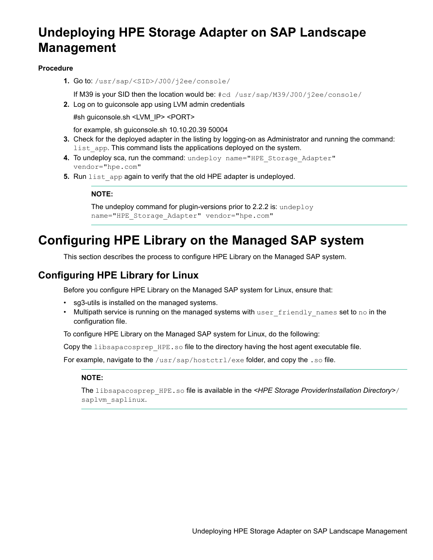# <span id="page-12-0"></span>**Undeploying HPE Storage Adapter on SAP Landscape Management**

## **Procedure**

**1.** Go to: /usr/sap/<SID>/J00/j2ee/console/

If M39 is your SID then the location would be:  $\#cd /usr/sap/M39/J00/j2ee/console/$ 

**2.** Log on to guiconsole app using LVM admin credentials

#sh guiconsole.sh <LVM\_IP> <PORT>

for example, sh guiconsole.sh 10.10.20.39 50004

- **3.** Check for the deployed adapter in the listing by logging-on as Administrator and running the command: list app. This command lists the applications deployed on the system.
- **4.** To undeploy sca, run the command: undeploy name="HPE Storage Adapter" vendor="hpe.com"
- **5.** Run list app again to verify that the old HPE adapter is undeployed.

**NOTE:**

```
The undeploy command for plugin-versions prior to 2.2.2 is: undeploy
name="HPE_Storage_Adapter" vendor="hpe.com"
```
# **Configuring HPE Library on the Managed SAP system**

This section describes the process to configure HPE Library on the Managed SAP system.

# **Configuring HPE Library for Linux**

Before you configure HPE Library on the Managed SAP system for Linux, ensure that:

- sg3-utils is installed on the managed systems.
- Multipath service is running on the managed systems with user friendly names set to no in the configuration file.

To configure HPE Library on the Managed SAP system for Linux, do the following:

Copy the libsapacosprep HPE.so file to the directory having the host agent executable file.

For example, navigate to the  $/\text{usr}/\text{sat/}$  hostctrl/exe folder, and copy the . so file.

## **NOTE:**

The libsapacosprep\_HPE.so file is available in the *<HPE Storage ProviderInstallation Directory>*/ saplvm\_saplinux.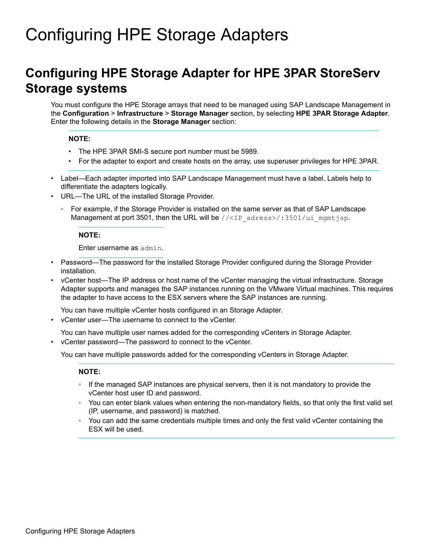# <span id="page-13-0"></span>Configuring HPE Storage Adapters

# **Configuring HPE Storage Adapter for HPE 3PAR StoreServ Storage systems**

You must configure the HPE Storage arrays that need to be managed using SAP Landscape Management in the **Configuration** > **Infrastructure** > **Storage Manager** section, by selecting **HPE 3PAR Storage Adapter**. Enter the following details in the **Storage Manager** section:

### **NOTE:**

- The HPE 3PAR SMI-S secure port number must be 5989.
- For the adapter to export and create hosts on the array, use superuser privileges for HPE 3PAR.
- Label—Each adapter imported into SAP Landscape Management must have a label. Labels help to differentiate the adapters logically.
- URL—The URL of the installed Storage Provider.
	- For example, if the Storage Provider is installed on the same server as that of SAP Landscape Management at port 3501, then the URL will be //<IP adress>/:3501/ui\_mgmtjsp.

### **NOTE:**

Enter username as admin.

- Password—The password for the installed Storage Provider configured during the Storage Provider installation.
- vCenter host—The IP address or host name of the vCenter managing the virtual infrastructure. Storage Adapter supports and manages the SAP instances running on the VMware Virtual machines. This requires the adapter to have access to the ESX servers where the SAP instances are running.

You can have multiple vCenter hosts configured in an Storage Adapter.

• vCenter user—The username to connect to the vCenter.

You can have multiple user names added for the corresponding vCenters in Storage Adapter.

• vCenter password—The password to connect to the vCenter.

You can have multiple passwords added for the corresponding vCenters in Storage Adapter.

### **NOTE:**

- If the managed SAP instances are physical servers, then it is not mandatory to provide the vCenter host user ID and password.
- You can enter blank values when entering the non-mandatory fields, so that only the first valid set (IP, username, and password) is matched.
- You can add the same credentials multiple times and only the first valid vCenter containing the ESX will be used.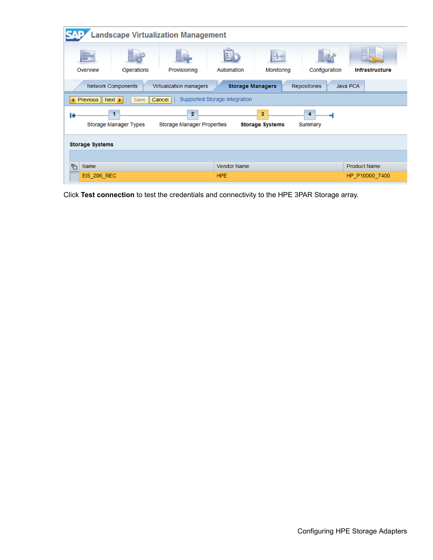| <b>Landscape Virtualization Management</b>                                                                                         |                                                                      |                         |                         |            |                     |                       |
|------------------------------------------------------------------------------------------------------------------------------------|----------------------------------------------------------------------|-------------------------|-------------------------|------------|---------------------|-----------------------|
| Overview                                                                                                                           | <b>Operations</b>                                                    | Provisioning            | 臣<br>Automation         | Monitoring | Configuration       | <b>Infrastructure</b> |
|                                                                                                                                    | <b>Network Components</b>                                            | Virtualization managers | <b>Storage Managers</b> |            | <b>Repositories</b> | <b>Java PCA</b>       |
|                                                                                                                                    | Supported Storage Integration<br>◀ Previous Next ▶<br>Save<br>Cancel |                         |                         |            |                     |                       |
| $\overline{2}$<br>3<br>4<br><b>Storage Manager Types</b><br><b>Storage Manager Properties</b><br><b>Storage Systems</b><br>Summary |                                                                      |                         |                         |            |                     |                       |
| <b>Storage Systems</b>                                                                                                             |                                                                      |                         |                         |            |                     |                       |
|                                                                                                                                    |                                                                      |                         |                         |            |                     |                       |
| ħ<br><b>Name</b>                                                                                                                   |                                                                      |                         | <b>Vendor Name</b>      |            |                     | <b>Product Name</b>   |
| <b>EIS 206 REC</b>                                                                                                                 |                                                                      |                         | <b>HPE</b>              |            |                     | HP_P10000_7400        |

Click **Test connection** to test the credentials and connectivity to the HPE 3PAR Storage array.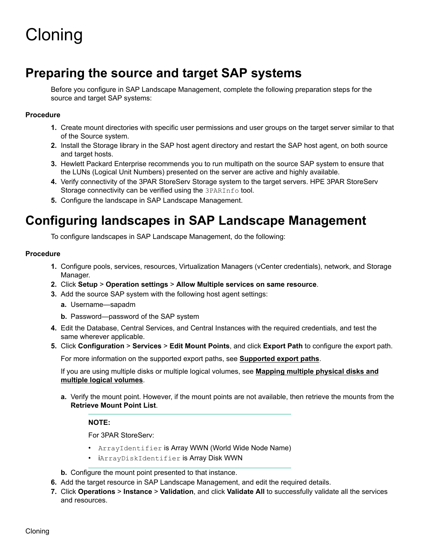# <span id="page-15-0"></span>Cloning

# **Preparing the source and target SAP systems**

Before you configure in SAP Landscape Management, complete the following preparation steps for the source and target SAP systems:

## **Procedure**

- **1.** Create mount directories with specific user permissions and user groups on the target server similar to that of the Source system.
- **2.** Install the Storage library in the SAP host agent directory and restart the SAP host agent, on both source and target hosts.
- **3.** Hewlett Packard Enterprise recommends you to run multipath on the source SAP system to ensure that the LUNs (Logical Unit Numbers) presented on the server are active and highly available.
- **4.** Verify connectivity of the 3PAR StoreServ Storage system to the target servers. HPE 3PAR StoreServ Storage connectivity can be verified using the 3PARInfo tool.
- **5.** Configure the landscape in SAP Landscape Management.

# **Configuring landscapes in SAP Landscape Management**

To configure landscapes in SAP Landscape Management, do the following:

### **Procedure**

- **1.** Configure pools, services, resources, Virtualization Managers (vCenter credentials), network, and Storage Manager.
- **2.** Click **Setup** > **Operation settings** > **Allow Multiple services on same resource**.
- **3.** Add the source SAP system with the following host agent settings:
	- **a.** Username—sapadm
	- **b.** Password—password of the SAP system
- **4.** Edit the Database, Central Services, and Central Instances with the required credentials, and test the same wherever applicable.
- **5.** Click **Configuration** > **Services** > **Edit Mount Points**, and click **Export Path** to configure the export path.

For more information on the supported export paths, see **[Supported export paths](#page-16-0)**.

If you are using multiple disks or multiple logical volumes, see **[Mapping multiple physical disks and](#page-21-0) [multiple logical volumes](#page-21-0)**.

**a.** Verify the mount point. However, if the mount points are not available, then retrieve the mounts from the **Retrieve Mount Point List**.

## **NOTE:**

For 3PAR StoreServ:

- ArrayIdentifier is Array WWN (World Wide Node Name)
- iArrayDiskIdentifier is Array Disk WWN
- **b.** Configure the mount point presented to that instance.
- **6.** Add the target resource in SAP Landscape Management, and edit the required details.
- **7.** Click **Operations** > **Instance** > **Validation**, and click **Validate All** to successfully validate all the services and resources.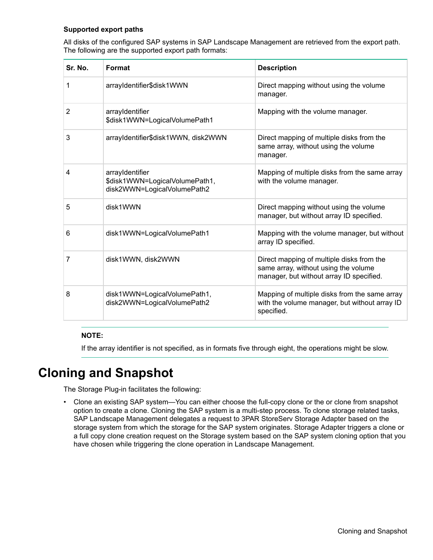## <span id="page-16-0"></span>**Supported export paths**

All disks of the configured SAP systems in SAP Landscape Management are retrieved from the export path. The following are the supported export path formats:

| Sr. No. | Format                                                                           | <b>Description</b>                                                                                                            |
|---------|----------------------------------------------------------------------------------|-------------------------------------------------------------------------------------------------------------------------------|
| 1       | arrayIdentifier\$disk1WWN                                                        | Direct mapping without using the volume<br>manager.                                                                           |
| 2       | arrayIdentifier<br>\$disk1WWN=LogicalVolumePath1                                 | Mapping with the volume manager.                                                                                              |
| 3       | arrayIdentifier\$disk1WWN, disk2WWN                                              | Direct mapping of multiple disks from the<br>same array, without using the volume<br>manager.                                 |
| 4       | arrayIdentifier<br>\$disk1WWN=LogicalVolumePath1,<br>disk2WWN=LogicalVolumePath2 | Mapping of multiple disks from the same array<br>with the volume manager.                                                     |
| 5       | disk1WWN                                                                         | Direct mapping without using the volume<br>manager, but without array ID specified.                                           |
| 6       | disk1WWN=LogicalVolumePath1                                                      | Mapping with the volume manager, but without<br>array ID specified.                                                           |
| 7       | disk1WWN, disk2WWN                                                               | Direct mapping of multiple disks from the<br>same array, without using the volume<br>manager, but without array ID specified. |
| 8       | disk1WWN=LogicalVolumePath1,<br>disk2WWN=LogicalVolumePath2                      | Mapping of multiple disks from the same array<br>with the volume manager, but without array ID<br>specified.                  |

### **NOTE:**

If the array identifier is not specified, as in formats five through eight, the operations might be slow.

# **Cloning and Snapshot**

The Storage Plug-in facilitates the following:

• Clone an existing SAP system—You can either choose the full-copy clone or the or clone from snapshot option to create a clone. Cloning the SAP system is a multi-step process. To clone storage related tasks, SAP Landscape Management delegates a request to 3PAR StoreServ Storage Adapter based on the storage system from which the storage for the SAP system originates. Storage Adapter triggers a clone or a full copy clone creation request on the Storage system based on the SAP system cloning option that you have chosen while triggering the clone operation in Landscape Management.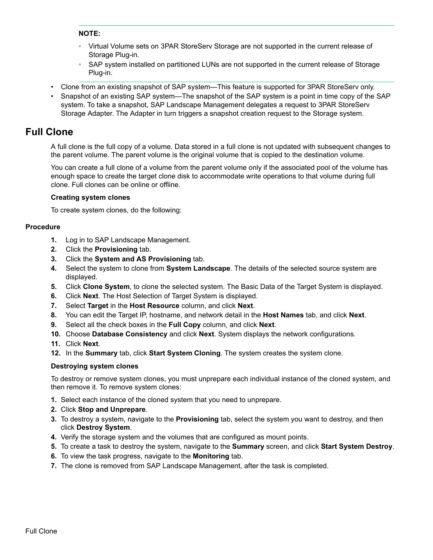### <span id="page-17-0"></span>**NOTE:**

- Virtual Volume sets on 3PAR StoreServ Storage are not supported in the current release of Storage Plug-in.
- SAP system installed on partitioned LUNs are not supported in the current release of Storage Plug-in.
- Clone from an existing snapshot of SAP system—This feature is supported for 3PAR StoreServ only.
- Snapshot of an existing SAP system—The snapshot of the SAP system is a point in time copy of the SAP system. To take a snapshot, SAP Landscape Management delegates a request to 3PAR StoreServ Storage Adapter. The Adapter in turn triggers a snapshot creation request to the Storage system.

# **Full Clone**

A full clone is the full copy of a volume. Data stored in a full clone is not updated with subsequent changes to the parent volume. The parent volume is the original volume that is copied to the destination volume.

You can create a full clone of a volume from the parent volume only if the associated pool of the volume has enough space to create the target clone disk to accommodate write operations to that volume during full clone. Full clones can be online or offline.

### **Creating system clones**

To create system clones, do the following:

### **Procedure**

- **1.** Log in to SAP Landscape Management.
- **2.** Click the **Provisioning** tab.
- **3.** Click the **System and AS Provisioning** tab.
- **4.** Select the system to clone from **System Landscape**. The details of the selected source system are displayed.
- **5.** Click **Clone System**, to clone the selected system. The Basic Data of the Target System is displayed.
- **6.** Click **Next**. The Host Selection of Target System is displayed.
- **7.** Select **Target** in the **Host Resource** column, and click **Next**.
- **8.** You can edit the Target IP, hostname, and network detail in the **Host Names** tab, and click **Next**.
- **9.** Select all the check boxes in the **Full Copy** column, and click **Next**.
- **10.** Choose **Database Consistency** and click **Next**. System displays the network configurations.
- **11.** Click **Next**.
- **12.** In the **Summary** tab, click **Start System Cloning**. The system creates the system clone.

### **Destroying system clones**

To destroy or remove system clones, you must unprepare each individual instance of the cloned system, and then remove it. To remove system clones:

- **1.** Select each instance of the cloned system that you need to unprepare.
- **2.** Click **Stop and Unprepare**.
- **3.** To destroy a system, navigate to the **Provisioning** tab, select the system you want to destroy, and then click **Destroy System**.
- **4.** Verify the storage system and the volumes that are configured as mount points.
- **5.** To create a task to destroy the system, navigate to the **Summary** screen, and click **Start System Destroy**.
- **6.** To view the task progress, navigate to the **Monitoring** tab.
- **7.** The clone is removed from SAP Landscape Management, after the task is completed.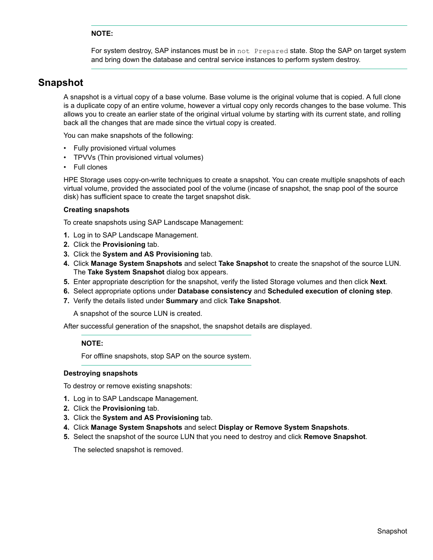## **NOTE:**

For system destroy, SAP instances must be in not Prepared state. Stop the SAP on target system and bring down the database and central service instances to perform system destroy.

# <span id="page-18-0"></span>**Snapshot**

A snapshot is a virtual copy of a base volume. Base volume is the original volume that is copied. A full clone is a duplicate copy of an entire volume, however a virtual copy only records changes to the base volume. This allows you to create an earlier state of the original virtual volume by starting with its current state, and rolling back all the changes that are made since the virtual copy is created.

You can make snapshots of the following:

- Fully provisioned virtual volumes
- TPVVs (Thin provisioned virtual volumes)
- Full clones

HPE Storage uses copy-on-write techniques to create a snapshot. You can create multiple snapshots of each virtual volume, provided the associated pool of the volume (incase of snapshot, the snap pool of the source disk) has sufficient space to create the target snapshot disk.

### **Creating snapshots**

To create snapshots using SAP Landscape Management:

- **1.** Log in to SAP Landscape Management.
- **2.** Click the **Provisioning** tab.
- **3.** Click the **System and AS Provisioning** tab.
- **4.** Click **Manage System Snapshots** and select **Take Snapshot** to create the snapshot of the source LUN. The **Take System Snapshot** dialog box appears.
- **5.** Enter appropriate description for the snapshot, verify the listed Storage volumes and then click **Next**.
- **6.** Select appropriate options under **Database consistency** and **Scheduled execution of cloning step**.
- **7.** Verify the details listed under **Summary** and click **Take Snapshot**.

A snapshot of the source LUN is created.

After successful generation of the snapshot, the snapshot details are displayed.

### **NOTE:**

For offline snapshots, stop SAP on the source system.

### **Destroying snapshots**

To destroy or remove existing snapshots:

- **1.** Log in to SAP Landscape Management.
- **2.** Click the **Provisioning** tab.
- **3.** Click the **System and AS Provisioning** tab.
- **4.** Click **Manage System Snapshots** and select **Display or Remove System Snapshots**.
- **5.** Select the snapshot of the source LUN that you need to destroy and click **Remove Snapshot**.

The selected snapshot is removed.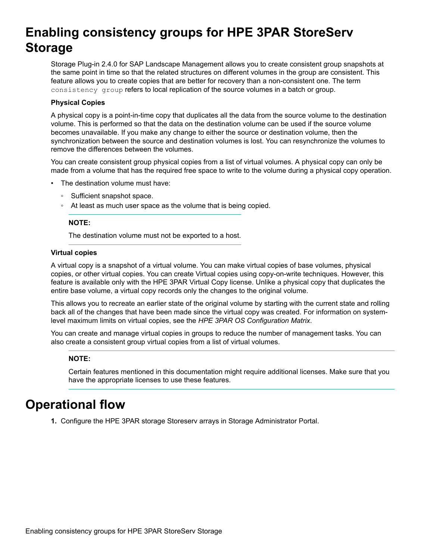# <span id="page-19-0"></span>**Enabling consistency groups for HPE 3PAR StoreServ Storage**

Storage Plug-in 2.4.0 for SAP Landscape Management allows you to create consistent group snapshots at the same point in time so that the related structures on different volumes in the group are consistent. This feature allows you to create copies that are better for recovery than a non-consistent one. The term consistency group refers to local replication of the source volumes in a batch or group.

### **Physical Copies**

A physical copy is a point-in-time copy that duplicates all the data from the source volume to the destination volume. This is performed so that the data on the destination volume can be used if the source volume becomes unavailable. If you make any change to either the source or destination volume, then the synchronization between the source and destination volumes is lost. You can resynchronize the volumes to remove the differences between the volumes.

You can create consistent group physical copies from a list of virtual volumes. A physical copy can only be made from a volume that has the required free space to write to the volume during a physical copy operation.

- The destination volume must have:
	- Sufficient snapshot space.
	- At least as much user space as the volume that is being copied.

### **NOTE:**

The destination volume must not be exported to a host.

### **Virtual copies**

A virtual copy is a snapshot of a virtual volume. You can make virtual copies of base volumes, physical copies, or other virtual copies. You can create Virtual copies using copy-on-write techniques. However, this feature is available only with the HPE 3PAR Virtual Copy license. Unlike a physical copy that duplicates the entire base volume, a virtual copy records only the changes to the original volume.

This allows you to recreate an earlier state of the original volume by starting with the current state and rolling back all of the changes that have been made since the virtual copy was created. For information on systemlevel maximum limits on virtual copies, see the *HPE 3PAR OS Configuration Matrix*.

You can create and manage virtual copies in groups to reduce the number of management tasks. You can also create a consistent group virtual copies from a list of virtual volumes.

## **NOTE:**

Certain features mentioned in this documentation might require additional licenses. Make sure that you have the appropriate licenses to use these features.

# **Operational flow**

**1.** Configure the HPE 3PAR storage Storeserv arrays in Storage Administrator Portal.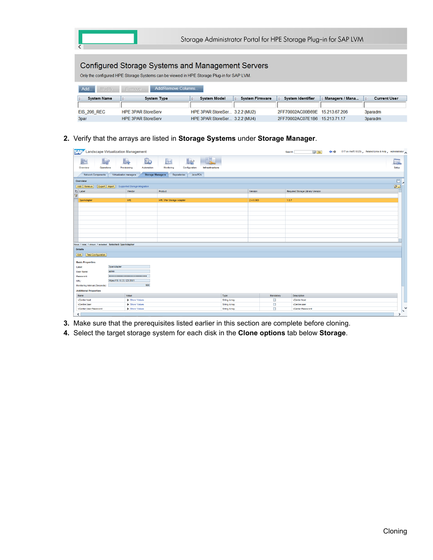| Storage Administrator Portal for HPE Storage Plug-in for SAP LVM |                                                                                                                                                       |                               |                        |                          |                 |                     |
|------------------------------------------------------------------|-------------------------------------------------------------------------------------------------------------------------------------------------------|-------------------------------|------------------------|--------------------------|-----------------|---------------------|
|                                                                  | <b>Configured Storage Systems and Management Servers</b><br>Only the configured HPE Storage Systems can be viewed in HPE Storage Plug-in for SAP LVM. |                               |                        |                          |                 |                     |
| Add/Remove Columns<br>Add.<br>Modify<br>Remove                   |                                                                                                                                                       |                               |                        |                          |                 |                     |
| <b>System Name</b>                                               | <b>System Type</b>                                                                                                                                    | <b>System Model</b>           | <b>System Firmware</b> | <b>System Identifier</b> | Managers / Mana | <b>Current User</b> |
|                                                                  |                                                                                                                                                       |                               |                        |                          |                 |                     |
| <b>EIS 206 REC</b>                                               | <b>HPE 3PAR StoreServ</b>                                                                                                                             | HPE 3PAR StoreSer 3.2.2 (MU2) |                        | 2FF70002AC00B69E         | 15 213 67 206   | 3paradm             |
| 3par                                                             | <b>HPE 3PAR StoreServ</b>                                                                                                                             | HPE 3PAR StoreSer 3.2.2 (MU4) |                        | 2FF70002AC07E1B6         | 15.213.71.17    | 3paradm             |

**2.** Verify that the arrays are listed in **Storage Systems** under **Storage Manager**.

|                                                          | <b>SAP</b> Landscape Virtualization Management<br>E17 on rhel7(10:23) $\triangle$ Related Links & Help $\triangle$ Administrator<br>i Go<br>⇔<br>Search: |                               |                                                                  |                     |           |                                  |  |                        |                 |
|----------------------------------------------------------|----------------------------------------------------------------------------------------------------------------------------------------------------------|-------------------------------|------------------------------------------------------------------|---------------------|-----------|----------------------------------|--|------------------------|-----------------|
| <b>Ly</b><br>Ē<br>Operations<br>Overview                 | l.<br>Provisioning                                                                                                                                       | <b>B</b><br>Automation        | H.<br>22<br>$+$<br>Configuration<br>Monitorina<br>Infrastructure |                     |           |                                  |  | Is.<br>Setup           |                 |
| <b>Network Components</b>                                | Virtualization managers                                                                                                                                  | <b>Storage Managers</b>       | Java PCA<br>Repositories                                         |                     |           |                                  |  |                        |                 |
| Overview                                                 |                                                                                                                                                          |                               |                                                                  |                     |           |                                  |  | $\boxed{\blacksquare}$ |                 |
| Add Remove<br>Export Import                              |                                                                                                                                                          | Supported Storage Integration |                                                                  |                     |           |                                  |  | 8.1                    |                 |
| <b>临</b> Label                                           |                                                                                                                                                          | Vendor                        | Product                                                          |                     | Version   | Required Storage Library Version |  |                        |                 |
| $\overline{\mathbf{v}}$                                  |                                                                                                                                                          | HPE                           | <b>HPE 3Par Storage Adapter</b>                                  |                     | 2.4.0.003 | 1.0.7                            |  |                        |                 |
| 3parAdapter                                              |                                                                                                                                                          |                               |                                                                  |                     |           |                                  |  |                        |                 |
|                                                          |                                                                                                                                                          |                               |                                                                  |                     |           |                                  |  |                        |                 |
|                                                          |                                                                                                                                                          |                               |                                                                  |                     |           |                                  |  |                        |                 |
|                                                          |                                                                                                                                                          |                               |                                                                  |                     |           |                                  |  |                        |                 |
|                                                          |                                                                                                                                                          |                               |                                                                  |                     |           |                                  |  |                        |                 |
|                                                          |                                                                                                                                                          |                               |                                                                  |                     |           |                                  |  |                        |                 |
|                                                          |                                                                                                                                                          |                               |                                                                  |                     |           |                                  |  |                        |                 |
|                                                          |                                                                                                                                                          |                               |                                                                  |                     |           |                                  |  |                        |                 |
| Rows: 1 total, 1 shown, 1 selected Selected: 3parAdapter |                                                                                                                                                          |                               |                                                                  |                     |           |                                  |  |                        |                 |
| <b>Details</b>                                           |                                                                                                                                                          |                               |                                                                  |                     |           |                                  |  |                        |                 |
| Edit<br><b>Test Configuration</b>                        |                                                                                                                                                          |                               |                                                                  |                     |           |                                  |  |                        |                 |
|                                                          |                                                                                                                                                          |                               |                                                                  |                     |           |                                  |  |                        |                 |
| <b>Basic Properties</b>                                  |                                                                                                                                                          |                               |                                                                  |                     |           |                                  |  |                        |                 |
| <b>Label:</b>                                            | 3parAdapter<br>admin                                                                                                                                     |                               |                                                                  |                     |           |                                  |  |                        |                 |
| <b>User Name:</b><br>Password:                           |                                                                                                                                                          |                               |                                                                  |                     |           |                                  |  |                        |                 |
| URL:                                                     | https://10.10.33.123:3501                                                                                                                                |                               |                                                                  |                     |           |                                  |  |                        |                 |
| Monitoring Interval (Seconds):                           |                                                                                                                                                          | 900                           |                                                                  |                     |           |                                  |  |                        |                 |
| <b>Additional Properties</b>                             |                                                                                                                                                          |                               |                                                                  |                     |           |                                  |  |                        |                 |
| Name                                                     |                                                                                                                                                          | Value                         |                                                                  | Type                | Mandatory | <b>Description</b>               |  |                        |                 |
| vCenter host                                             |                                                                                                                                                          | Show Values                   |                                                                  | <b>String Array</b> | □         | vCenter host                     |  |                        |                 |
| vCentre User                                             |                                                                                                                                                          | Show Values                   |                                                                  | <b>String Array</b> | $\Box$    | vCentre user                     |  |                        |                 |
| vCenter User Password                                    |                                                                                                                                                          | Show Values                   |                                                                  | <b>String Array</b> | $\Box$    | vCenter Password                 |  |                        | $\check{}$<br>N |
| $\sqrt{2}$<br>$\overline{\phantom{a}}$                   |                                                                                                                                                          |                               |                                                                  |                     |           |                                  |  |                        |                 |

- **3.** Make sure that the prerequisites listed earlier in this section are complete before cloning.
- **4.** Select the target storage system for each disk in the **Clone options** tab below **Storage**.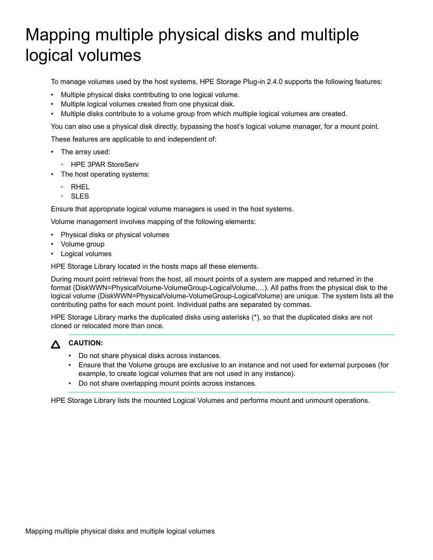# <span id="page-21-0"></span>Mapping multiple physical disks and multiple logical volumes

To manage volumes used by the host systems, HPE Storage Plug-in 2.4.0 supports the following features:

- Multiple physical disks contributing to one logical volume.
- Multiple logical volumes created from one physical disk.
- Multiple disks contribute to a volume group from which multiple logical volumes are created.

You can also use a physical disk directly, bypassing the host's logical volume manager, for a mount point.

These features are applicable to and independent of:

- The array used:
	- HPE 3PAR StoreServ
- The host operating systems:
	- RHEL
	- SLES

Ensure that appropriate logical volume managers is used in the host systems.

Volume management involves mapping of the following elements:

- Physical disks or physical volumes
- Volume group
- Logical volumes

HPE Storage Library located in the hosts maps all these elements.

During mount point retrieval from the host, all mount points of a system are mapped and returned in the format (DiskWWN=PhysicalVolume-VolumeGroup-LogicalVolume,…). All paths from the physical disk to the logical volume (DiskWWN=PhysicalVolume-VolumeGroup-LogicalVolume) are unique. The system lists all the contributing paths for each mount point. Individual paths are separated by commas.

HPE Storage Library marks the duplicated disks using asterisks (\*), so that the duplicated disks are not cloned or relocated more than once.

|--|

# **CAUTION:**

- Do not share physical disks across instances.
- Ensure that the Volume groups are exclusive to an instance and not used for external purposes (for example, to create logical volumes that are not used in any instance).
- Do not share overlapping mount points across instances.

HPE Storage Library lists the mounted Logical Volumes and performs mount and unmount operations.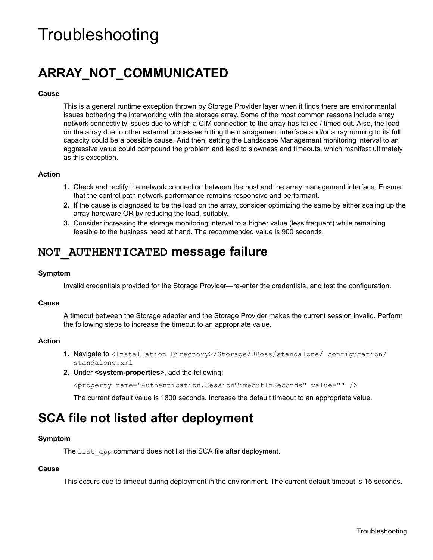# <span id="page-22-0"></span>**Troubleshooting**

# **ARRAY\_NOT\_COMMUNICATED**

### **Cause**

This is a general runtime exception thrown by Storage Provider layer when it finds there are environmental issues bothering the interworking with the storage array. Some of the most common reasons include array network connectivity issues due to which a CIM connection to the array has failed / timed out. Also, the load on the array due to other external processes hitting the management interface and/or array running to its full capacity could be a possible cause. And then, setting the Landscape Management monitoring interval to an aggressive value could compound the problem and lead to slowness and timeouts, which manifest ultimately as this exception.

### **Action**

- **1.** Check and rectify the network connection between the host and the array management interface. Ensure that the control path network performance remains responsive and performant.
- **2.** If the cause is diagnosed to be the load on the array, consider optimizing the same by either scaling up the array hardware OR by reducing the load, suitably.
- **3.** Consider increasing the storage monitoring interval to a higher value (less frequent) while remaining feasible to the business need at hand. The recommended value is 900 seconds.

# **NOT\_AUTHENTICATED message failure**

### **Symptom**

Invalid credentials provided for the Storage Provider—re-enter the credentials, and test the configuration.

## **Cause**

A timeout between the Storage adapter and the Storage Provider makes the current session invalid. Perform the following steps to increase the timeout to an appropriate value.

### **Action**

- **1.** Navigate to <Installation Directory>/Storage/JBoss/standalone/ configuration/ standalone.xml
- **2.** Under **<system-properties>**, add the following:

<property name="Authentication.SessionTimeoutInSeconds" value="" />

The current default value is 1800 seconds. Increase the default timeout to an appropriate value.

# **SCA file not listed after deployment**

### **Symptom**

The list app command does not list the SCA file after deployment.

### **Cause**

This occurs due to timeout during deployment in the environment. The current default timeout is 15 seconds.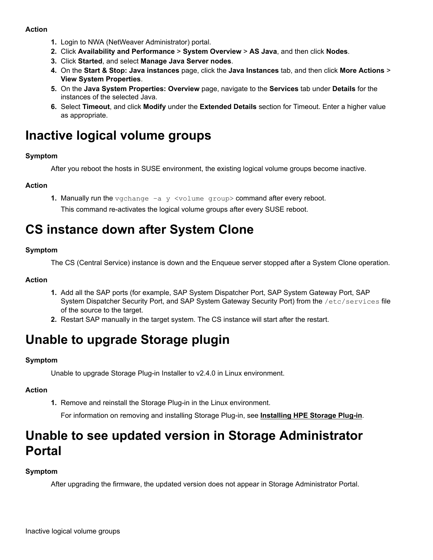## <span id="page-23-0"></span>**Action**

- **1.** Login to NWA (NetWeaver Administrator) portal.
- **2.** Click **Availability and Performance** > **System Overview** > **AS Java**, and then click **Nodes**.
- **3.** Click **Started**, and select **Manage Java Server nodes**.
- **4.** On the **Start & Stop: Java instances** page, click the **Java Instances** tab, and then click **More Actions** > **View System Properties**.
- **5.** On the **Java System Properties: Overview** page, navigate to the **Services** tab under **Details** for the instances of the selected Java.
- **6.** Select **Timeout**, and click **Modify** under the **Extended Details** section for Timeout. Enter a higher value as appropriate.

# **Inactive logical volume groups**

## **Symptom**

After you reboot the hosts in SUSE environment, the existing logical volume groups become inactive.

## **Action**

**1.** Manually run the vgchange –a y <volume group> command after every reboot.

This command re-activates the logical volume groups after every SUSE reboot.

# **CS instance down after System Clone**

## **Symptom**

The CS (Central Service) instance is down and the Enqueue server stopped after a System Clone operation.

### **Action**

- **1.** Add all the SAP ports (for example, SAP System Dispatcher Port, SAP System Gateway Port, SAP System Dispatcher Security Port, and SAP System Gateway Security Port) from the /etc/services file of the source to the target.
- **2.** Restart SAP manually in the target system. The CS instance will start after the restart.

# **Unable to upgrade Storage plugin**

## **Symptom**

Unable to upgrade Storage Plug-in Installer to v2.4.0 in Linux environment.

## **Action**

**1.** Remove and reinstall the Storage Plug-in in the Linux environment.

For information on removing and installing Storage Plug-in, see **[Installing HPE Storage Plug-in](#page-8-0)**.

# **Unable to see updated version in Storage Administrator Portal**

## **Symptom**

After upgrading the firmware, the updated version does not appear in Storage Administrator Portal.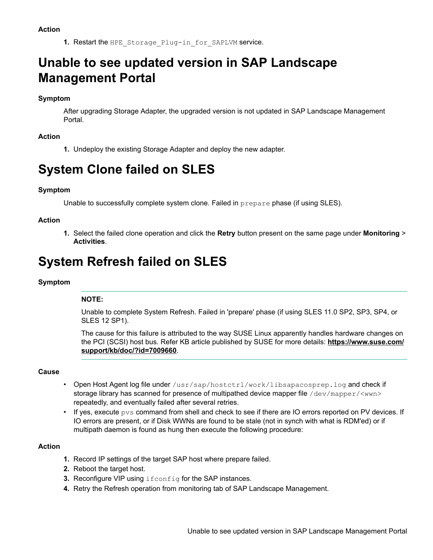1. Restart the HPE Storage Plug-in for SAPLVM service.

# <span id="page-24-0"></span>**Unable to see updated version in SAP Landscape Management Portal**

## **Symptom**

After upgrading Storage Adapter, the upgraded version is not updated in SAP Landscape Management Portal.

## **Action**

**1.** Undeploy the existing Storage Adapter and deploy the new adapter.

# **System Clone failed on SLES**

## **Symptom**

Unable to successfully complete system clone. Failed in prepare phase (if using SLES).

## **Action**

**1.** Select the failed clone operation and click the **Retry** button present on the same page under **Monitoring** > **Activities**.

# **System Refresh failed on SLES**

## **Symptom**

## **NOTE:**

Unable to complete System Refresh. Failed in 'prepare' phase (if using SLES 11.0 SP2, SP3, SP4, or SLES 12 SP1).

The cause for this failure is attributed to the way SUSE Linux apparently handles hardware changes on the PCI (SCSI) host bus. Refer KB article published by SUSE for more details: **[https://www.suse.com/](https://www.suse.com/support/kb/doc/?id=7009660) [support/kb/doc/?id=7009660](https://www.suse.com/support/kb/doc/?id=7009660)**.

## **Cause**

- Open Host Agent log file under /usr/sap/hostctrl/work/libsapacosprep.log and check if storage library has scanned for presence of multipathed device mapper file /dev/mapper/<wwn> repeatedly, and eventually failed after several retries.
- If yes, execute  $pvs$  command from shell and check to see if there are IO errors reported on PV devices. If IO errors are present, or if Disk WWNs are found to be stale (not in synch with what is RDM'ed) or if multipath daemon is found as hung then execute the following procedure:

## **Action**

- **1.** Record IP settings of the target SAP host where prepare failed.
- **2.** Reboot the target host.
- **3.** Reconfigure VIP using ifconfig for the SAP instances.
- **4.** Retry the Refresh operation from monitoring tab of SAP Landscape Management.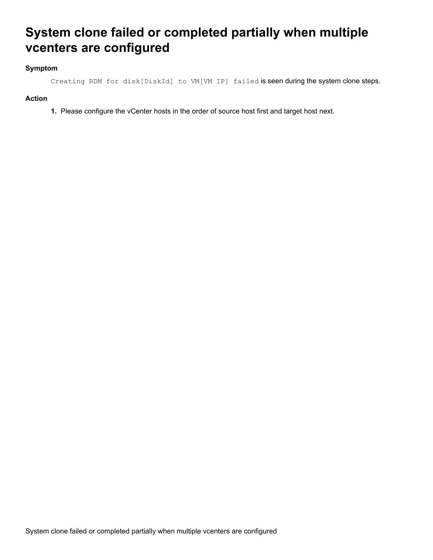# <span id="page-25-0"></span>**System clone failed or completed partially when multiple vcenters are configured**

## **Symptom**

Creating RDM for disk[DiskId] to VM[VM IP] failed is seen during the system clone steps.

## **Action**

**1.** Please configure the vCenter hosts in the order of source host first and target host next.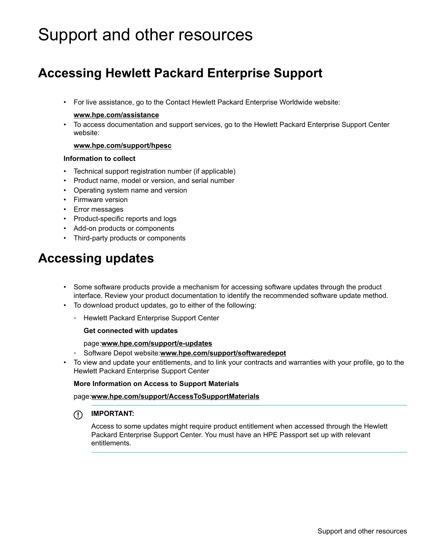# <span id="page-26-0"></span>Support and other resources

# **Accessing Hewlett Packard Enterprise Support**

• For live assistance, go to the Contact Hewlett Packard Enterprise Worldwide website:

### **[www.hpe.com/assistance](http://www.hpe.com/assistance)**

• To access documentation and support services, go to the Hewlett Packard Enterprise Support Center website:

### **[www.hpe.com/support/hpesc](http://www.hpe.com/support/hpesc)**

### **Information to collect**

- Technical support registration number (if applicable)
- Product name, model or version, and serial number
- Operating system name and version
- Firmware version
- Error messages
- Product-specific reports and logs
- Add-on products or components
- Third-party products or components

# **Accessing updates**

- Some software products provide a mechanism for accessing software updates through the product interface. Review your product documentation to identify the recommended software update method.
- To download product updates, go to either of the following:
	- Hewlett Packard Enterprise Support Center

### **Get connected with updates**

### page:**[www.hpe.com/support/e-updates](http://www.hpe.com/support/e-updates)**

- Software Depot website:**[www.hpe.com/support/softwaredepot](http://www.hpe.com/support/softwaredepot)**
- To view and update your entitlements, and to link your contracts and warranties with your profile, go to the Hewlett Packard Enterprise Support Center

### **More Information on Access to Support Materials**

### page:**[www.hpe.com/support/AccessToSupportMaterials](http://www.hpe.com/support/AccessToSupportMaterials)**

**IMPORTANT:**

Access to some updates might require product entitlement when accessed through the Hewlett Packard Enterprise Support Center. You must have an HPE Passport set up with relevant entitlements.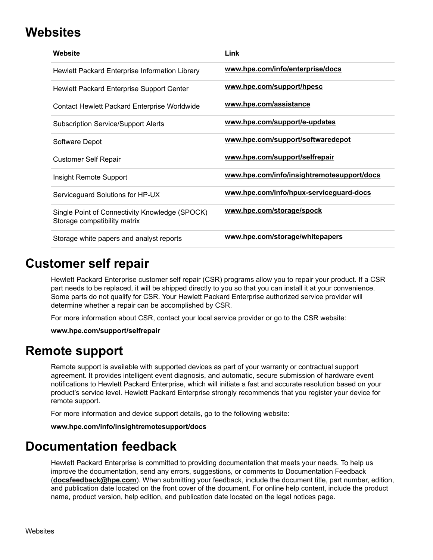# <span id="page-27-0"></span>**Websites**

| Website                                                                        | Link                                       |
|--------------------------------------------------------------------------------|--------------------------------------------|
| Hewlett Packard Enterprise Information Library                                 | www.hpe.com/info/enterprise/docs           |
| Hewlett Packard Enterprise Support Center                                      | www.hpe.com/support/hpesc                  |
| Contact Hewlett Packard Enterprise Worldwide                                   | www.hpe.com/assistance                     |
| <b>Subscription Service/Support Alerts</b>                                     | www.hpe.com/support/e-updates              |
| Software Depot                                                                 | www.hpe.com/support/softwaredepot          |
| <b>Customer Self Repair</b>                                                    | www.hpe.com/support/selfrepair             |
| Insight Remote Support                                                         | www.hpe.com/info/insightremotesupport/docs |
| Serviceguard Solutions for HP-UX                                               | www.hpe.com/info/hpux-serviceguard-docs    |
| Single Point of Connectivity Knowledge (SPOCK)<br>Storage compatibility matrix | www.hpe.com/storage/spock                  |
| Storage white papers and analyst reports                                       | www.hpe.com/storage/whitepapers            |

# **Customer self repair**

Hewlett Packard Enterprise customer self repair (CSR) programs allow you to repair your product. If a CSR part needs to be replaced, it will be shipped directly to you so that you can install it at your convenience. Some parts do not qualify for CSR. Your Hewlett Packard Enterprise authorized service provider will determine whether a repair can be accomplished by CSR.

For more information about CSR, contact your local service provider or go to the CSR website:

**[www.hpe.com/support/selfrepair](http://www.hpe.com/support/selfrepair)**

# **Remote support**

Remote support is available with supported devices as part of your warranty or contractual support agreement. It provides intelligent event diagnosis, and automatic, secure submission of hardware event notifications to Hewlett Packard Enterprise, which will initiate a fast and accurate resolution based on your product's service level. Hewlett Packard Enterprise strongly recommends that you register your device for remote support.

For more information and device support details, go to the following website:

## **[www.hpe.com/info/insightremotesupport/docs](http://www.hpe.com/info/insightremotesupport/docs)**

# **Documentation feedback**

Hewlett Packard Enterprise is committed to providing documentation that meets your needs. To help us improve the documentation, send any errors, suggestions, or comments to Documentation Feedback (**docsfeedback@hpe.com**). When submitting your feedback, include the document title, part number, edition, and publication date located on the front cover of the document. For online help content, include the product name, product version, help edition, and publication date located on the legal notices page.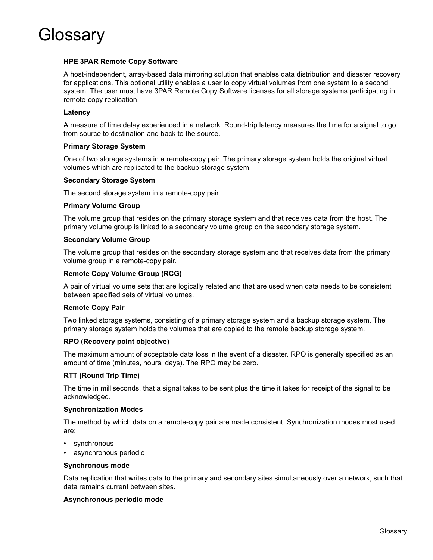<span id="page-28-0"></span>

### **HPE 3PAR Remote Copy Software**

A host-independent, array-based data mirroring solution that enables data distribution and disaster recovery for applications. This optional utility enables a user to copy virtual volumes from one system to a second system. The user must have 3PAR Remote Copy Software licenses for all storage systems participating in remote-copy replication.

### **Latency**

A measure of time delay experienced in a network. Round-trip latency measures the time for a signal to go from source to destination and back to the source.

### **Primary Storage System**

One of two storage systems in a remote-copy pair. The primary storage system holds the original virtual volumes which are replicated to the backup storage system.

### **Secondary Storage System**

The second storage system in a remote-copy pair.

### **Primary Volume Group**

The volume group that resides on the primary storage system and that receives data from the host. The primary volume group is linked to a secondary volume group on the secondary storage system.

#### **Secondary Volume Group**

The volume group that resides on the secondary storage system and that receives data from the primary volume group in a remote-copy pair.

#### **Remote Copy Volume Group (RCG)**

A pair of virtual volume sets that are logically related and that are used when data needs to be consistent between specified sets of virtual volumes.

#### **Remote Copy Pair**

Two linked storage systems, consisting of a primary storage system and a backup storage system. The primary storage system holds the volumes that are copied to the remote backup storage system.

### **RPO (Recovery point objective)**

The maximum amount of acceptable data loss in the event of a disaster. RPO is generally specified as an amount of time (minutes, hours, days). The RPO may be zero.

### **RTT (Round Trip Time)**

The time in milliseconds, that a signal takes to be sent plus the time it takes for receipt of the signal to be acknowledged.

#### **Synchronization Modes**

The method by which data on a remote-copy pair are made consistent. Synchronization modes most used are:

- synchronous
- asynchronous periodic

#### **Synchronous mode**

Data replication that writes data to the primary and secondary sites simultaneously over a network, such that data remains current between sites.

### **Asynchronous periodic mode**